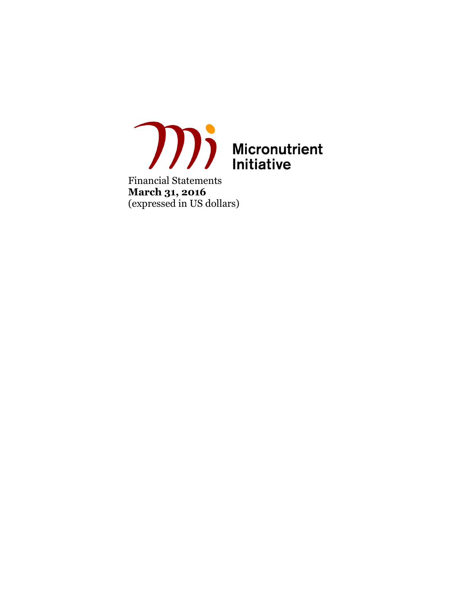

Financial Statements **March 31, 2016** (expressed in US dollars)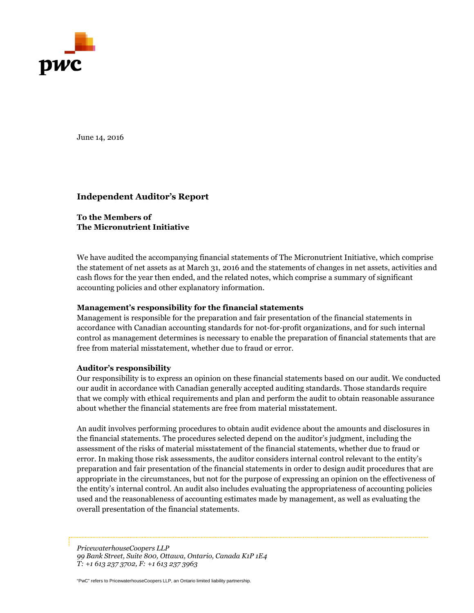

June 14, 2016

#### **Independent Auditor's Report**

**To the Members of The Micronutrient Initiative**

We have audited the accompanying financial statements of The Micronutrient Initiative, which comprise the statement of net assets as at March 31, 2016 and the statements of changes in net assets, activities and cash flows for the year then ended, and the related notes, which comprise a summary of significant accounting policies and other explanatory information.

#### **Management's responsibility for the financial statements**

Management is responsible for the preparation and fair presentation of the financial statements in accordance with Canadian accounting standards for not-for-profit organizations, and for such internal control as management determines is necessary to enable the preparation of financial statements that are free from material misstatement, whether due to fraud or error.

#### **Auditor's responsibility**

Our responsibility is to express an opinion on these financial statements based on our audit. We conducted our audit in accordance with Canadian generally accepted auditing standards. Those standards require that we comply with ethical requirements and plan and perform the audit to obtain reasonable assurance about whether the financial statements are free from material misstatement.

An audit involves performing procedures to obtain audit evidence about the amounts and disclosures in the financial statements. The procedures selected depend on the auditor's judgment, including the assessment of the risks of material misstatement of the financial statements, whether due to fraud or error. In making those risk assessments, the auditor considers internal control relevant to the entity's preparation and fair presentation of the financial statements in order to design audit procedures that are appropriate in the circumstances, but not for the purpose of expressing an opinion on the effectiveness of the entity's internal control. An audit also includes evaluating the appropriateness of accounting policies used and the reasonableness of accounting estimates made by management, as well as evaluating the overall presentation of the financial statements.

*PricewaterhouseCoopers LLP 99 Bank Street, Suite 800, Ottawa, Ontario, Canada K1P 1E4 T: +1 613 237 3702, F: +1 613 237 3963*

"PwC" refers to PricewaterhouseCoopers LLP, an Ontario limited liability partnership.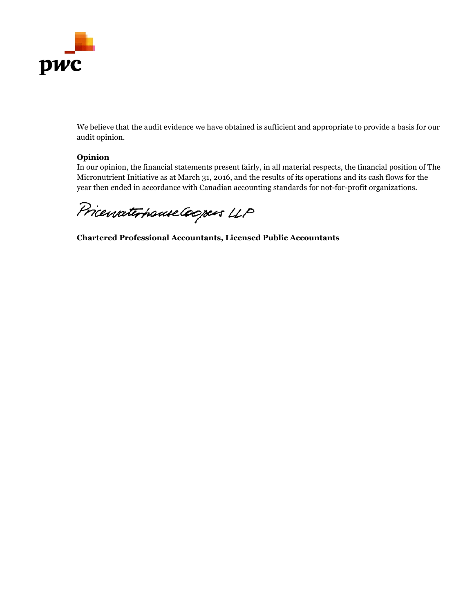

We believe that the audit evidence we have obtained is sufficient and appropriate to provide a basis for our audit opinion.

#### **Opinion**

In our opinion, the financial statements present fairly, in all material respects, the financial position of The Micronutrient Initiative as at March 31, 2016, and the results of its operations and its cash flows for the year then ended in accordance with Canadian accounting standards for not-for-profit organizations.

Pricewaterhouse Coopers LLP

**Chartered Professional Accountants, Licensed Public Accountants**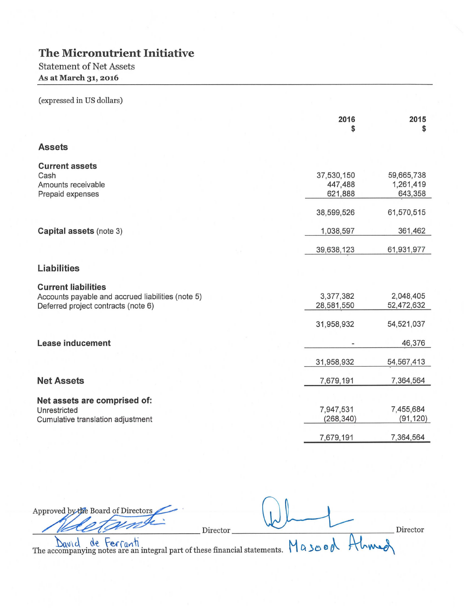Statement of Net Assets **As at March 31, 2016**

(expressed in US dollars)

|                                                                                                                        | 2016<br>\$                            | 2015<br>\$                            |
|------------------------------------------------------------------------------------------------------------------------|---------------------------------------|---------------------------------------|
| <b>Assets</b>                                                                                                          |                                       |                                       |
| <b>Current assets</b><br>Cash<br>Amounts receivable<br>Prepaid expenses                                                | 37,530,150<br>447,488<br>621,888      | 59,665,738<br>1,261,419<br>643,358    |
|                                                                                                                        | 38,599,526                            | 61,570,515                            |
| Capital assets (note 3)                                                                                                | 1,038,597                             | 361,462                               |
|                                                                                                                        | 39,638,123                            | 61,931,977                            |
| <b>Liabilities</b>                                                                                                     |                                       |                                       |
| <b>Current liabilities</b><br>Accounts payable and accrued liabilities (note 5)<br>Deferred project contracts (note 6) | 3,377,382<br>28,581,550<br>31,958,932 | 2,048,405<br>52,472,632<br>54,521,037 |
| <b>Lease inducement</b>                                                                                                |                                       | 46,376                                |
|                                                                                                                        | 31,958,932                            | 54,567,413                            |
| <b>Net Assets</b>                                                                                                      | 7,679,191                             | 7,364,564                             |
| Net assets are comprised of:<br>Unrestricted<br>Cumulative translation adjustment                                      | 7,947,531<br>(268, 340)               | 7,455,684<br>(91, 120)                |
|                                                                                                                        | 7,679,191                             | 7,364,564                             |

Approved by the Board of Directors Director Director **Director** 

**Bay** de Ferfanti<br>The accompanying notes are an integral part of these financial statements. Mass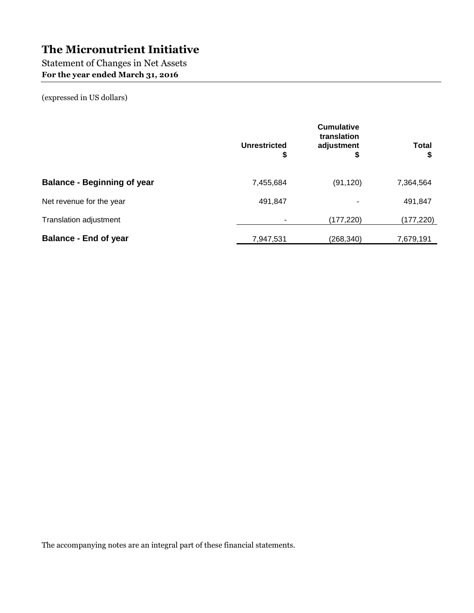Statement of Changes in Net Assets **For the year ended March 31, 2016**

(expressed in US dollars)

|                                    | <b>Unrestricted</b><br>\$ | <b>Cumulative</b><br>translation<br>adjustment<br>\$ | Total<br>S |
|------------------------------------|---------------------------|------------------------------------------------------|------------|
| <b>Balance - Beginning of year</b> | 7,455,684                 | (91, 120)                                            | 7,364,564  |
| Net revenue for the year           | 491,847                   |                                                      | 491,847    |
| Translation adjustment             |                           | (177,220)                                            | (177,220)  |
| <b>Balance - End of year</b>       | 7,947,531                 | (268,340)                                            | 7,679,191  |

The accompanying notes are an integral part of these financial statements.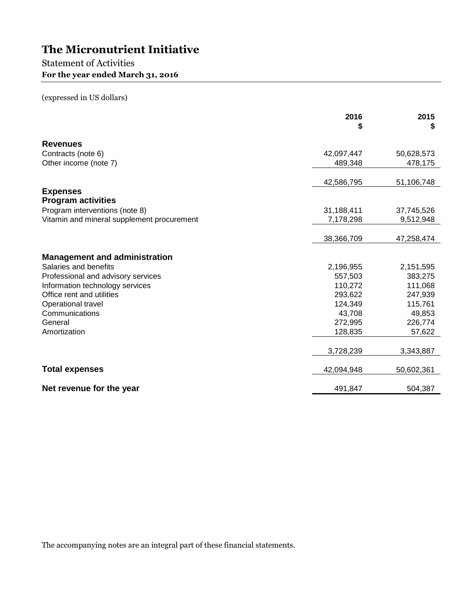### Statement of Activities **For the year ended March 31, 2016**

(expressed in US dollars)

|                                                                       | 2016<br>\$           | 2015<br>\$           |
|-----------------------------------------------------------------------|----------------------|----------------------|
| <b>Revenues</b>                                                       |                      |                      |
| Contracts (note 6)                                                    | 42,097,447           | 50,628,573           |
| Other income (note 7)                                                 | 489,348              | 478,175              |
|                                                                       | 42,586,795           | 51,106,748           |
| <b>Expenses</b>                                                       |                      |                      |
| <b>Program activities</b>                                             |                      |                      |
| Program interventions (note 8)                                        | 31,188,411           | 37,745,526           |
| Vitamin and mineral supplement procurement                            | 7,178,298            | 9,512,948            |
|                                                                       | 38,366,709           | 47,258,474           |
|                                                                       |                      |                      |
| <b>Management and administration</b>                                  |                      |                      |
| Salaries and benefits                                                 | 2,196,955<br>557,503 | 2,151,595<br>383,275 |
| Professional and advisory services<br>Information technology services | 110,272              | 111,068              |
| Office rent and utilities                                             | 293,622              | 247,939              |
| Operational travel                                                    | 124,349              | 115,761              |
| Communications                                                        | 43,708               | 49,853               |
| General                                                               | 272,995              | 226,774              |
| Amortization                                                          | 128,835              | 57,622               |
|                                                                       | 3,728,239            | 3,343,887            |
| <b>Total expenses</b>                                                 | 42,094,948           | 50,602,361           |
| Net revenue for the year                                              | 491,847              | 504,387              |

The accompanying notes are an integral part of these financial statements.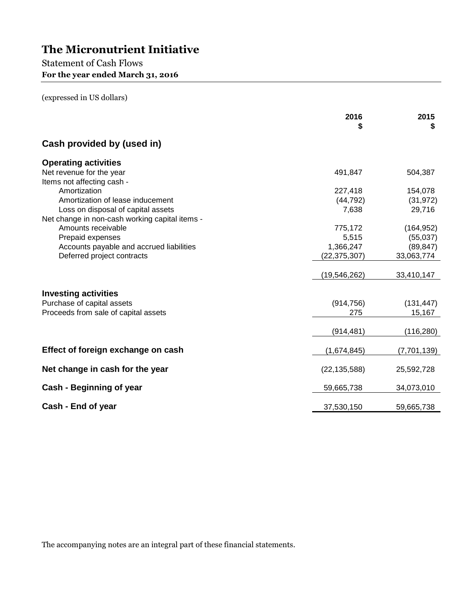### Statement of Cash Flows **For the year ended March 31, 2016**

(expressed in US dollars)

|                                                  | 2016<br>S          | 2015<br>S           |
|--------------------------------------------------|--------------------|---------------------|
| Cash provided by (used in)                       |                    |                     |
| <b>Operating activities</b>                      |                    |                     |
| Net revenue for the year                         | 491,847            | 504,387             |
| Items not affecting cash -                       |                    |                     |
| Amortization<br>Amortization of lease inducement | 227,418            | 154,078             |
| Loss on disposal of capital assets               | (44, 792)<br>7,638 | (31, 972)<br>29,716 |
| Net change in non-cash working capital items -   |                    |                     |
| Amounts receivable                               | 775,172            | (164, 952)          |
| Prepaid expenses                                 | 5,515              | (55,037)            |
| Accounts payable and accrued liabilities         | 1,366,247          | (89, 847)           |
| Deferred project contracts                       | (22, 375, 307)     | 33,063,774          |
|                                                  |                    |                     |
|                                                  | (19, 546, 262)     | 33,410,147          |
|                                                  |                    |                     |
| <b>Investing activities</b>                      |                    |                     |
| Purchase of capital assets                       | (914, 756)         | (131, 447)          |
| Proceeds from sale of capital assets             | 275                | 15,167              |
|                                                  | (914, 481)         | (116, 280)          |
|                                                  |                    |                     |
| Effect of foreign exchange on cash               | (1,674,845)        | (7,701,139)         |
| Net change in cash for the year                  | (22, 135, 588)     | 25,592,728          |
| Cash - Beginning of year                         | 59,665,738         | 34,073,010          |
| Cash - End of year                               | 37,530,150         | 59,665,738          |

The accompanying notes are an integral part of these financial statements.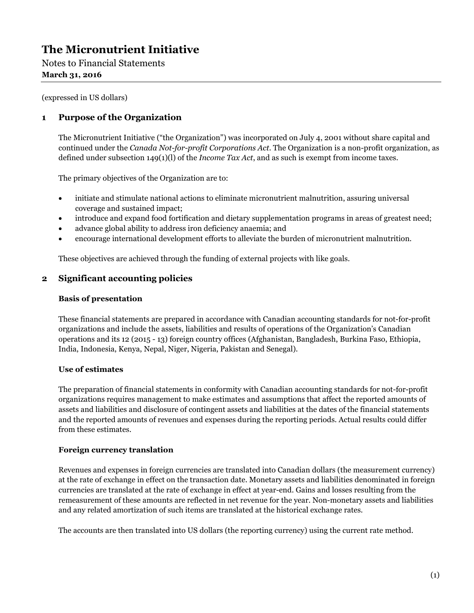### Notes to Financial Statements **March 31, 2016**

(expressed in US dollars)

### **1 Purpose of the Organization**

The Micronutrient Initiative ("the Organization") was incorporated on July 4, 2001 without share capital and continued under the *Canada Not-for-profit Corporations Act*. The Organization is a non-profit organization, as defined under subsection 149(1)(l) of the *Income Tax Act*, and as such is exempt from income taxes.

The primary objectives of the Organization are to:

- initiate and stimulate national actions to eliminate micronutrient malnutrition, assuring universal coverage and sustained impact;
- introduce and expand food fortification and dietary supplementation programs in areas of greatest need;
- advance global ability to address iron deficiency anaemia; and
- encourage international development efforts to alleviate the burden of micronutrient malnutrition.

These objectives are achieved through the funding of external projects with like goals.

#### **2 Significant accounting policies**

#### **Basis of presentation**

These financial statements are prepared in accordance with Canadian accounting standards for not-for-profit organizations and include the assets, liabilities and results of operations of the Organization's Canadian operations and its 12 (2015 - 13) foreign country offices (Afghanistan, Bangladesh, Burkina Faso, Ethiopia, India, Indonesia, Kenya, Nepal, Niger, Nigeria, Pakistan and Senegal).

#### **Use of estimates**

The preparation of financial statements in conformity with Canadian accounting standards for not-for-profit organizations requires management to make estimates and assumptions that affect the reported amounts of assets and liabilities and disclosure of contingent assets and liabilities at the dates of the financial statements and the reported amounts of revenues and expenses during the reporting periods. Actual results could differ from these estimates.

#### **Foreign currency translation**

Revenues and expenses in foreign currencies are translated into Canadian dollars (the measurement currency) at the rate of exchange in effect on the transaction date. Monetary assets and liabilities denominated in foreign currencies are translated at the rate of exchange in effect at year-end. Gains and losses resulting from the remeasurement of these amounts are reflected in net revenue for the year. Non-monetary assets and liabilities and any related amortization of such items are translated at the historical exchange rates.

The accounts are then translated into US dollars (the reporting currency) using the current rate method.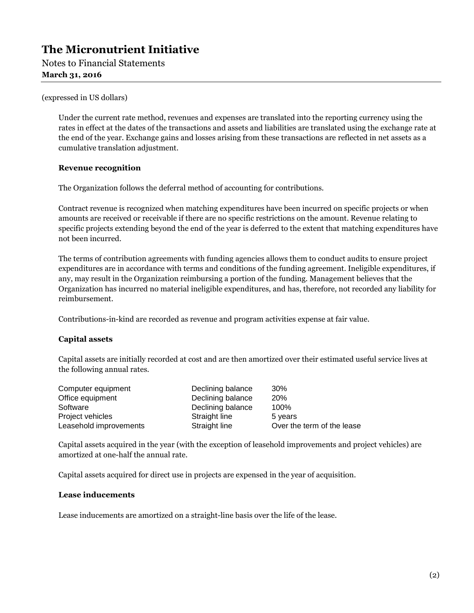```
Notes to Financial Statements
March 31, 2016
```
(expressed in US dollars)

Under the current rate method, revenues and expenses are translated into the reporting currency using the rates in effect at the dates of the transactions and assets and liabilities are translated using the exchange rate at the end of the year. Exchange gains and losses arising from these transactions are reflected in net assets as a cumulative translation adjustment.

#### **Revenue recognition**

The Organization follows the deferral method of accounting for contributions.

Contract revenue is recognized when matching expenditures have been incurred on specific projects or when amounts are received or receivable if there are no specific restrictions on the amount. Revenue relating to specific projects extending beyond the end of the year is deferred to the extent that matching expenditures have not been incurred.

The terms of contribution agreements with funding agencies allows them to conduct audits to ensure project expenditures are in accordance with terms and conditions of the funding agreement. Ineligible expenditures, if any, may result in the Organization reimbursing a portion of the funding. Management believes that the Organization has incurred no material ineligible expenditures, and has, therefore, not recorded any liability for reimbursement.

Contributions-in-kind are recorded as revenue and program activities expense at fair value.

#### **Capital assets**

Capital assets are initially recorded at cost and are then amortized over their estimated useful service lives at the following annual rates.

| Computer equipment     | Declining balance | 30%                        |
|------------------------|-------------------|----------------------------|
| Office equipment       | Declining balance | <b>20%</b>                 |
| Software               | Declining balance | 100%                       |
| Project vehicles       | Straight line     | 5 years                    |
| Leasehold improvements | Straight line     | Over the term of the lease |

Capital assets acquired in the year (with the exception of leasehold improvements and project vehicles) are amortized at one-half the annual rate.

Capital assets acquired for direct use in projects are expensed in the year of acquisition.

#### **Lease inducements**

Lease inducements are amortized on a straight-line basis over the life of the lease.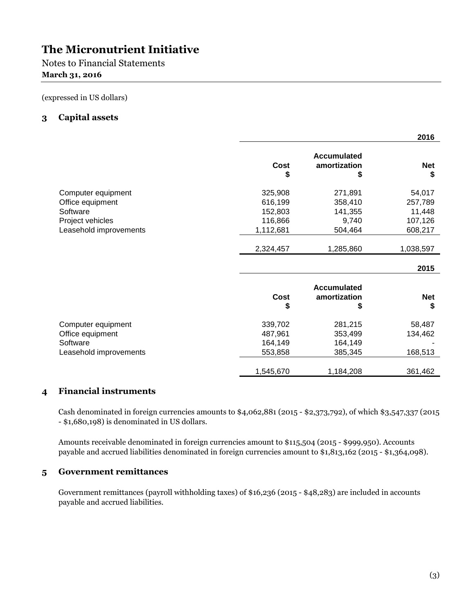Notes to Financial Statements **March 31, 2016**

(expressed in US dollars)

### **3 Capital assets**

|                                                                              |                                          |                                          | 2016                                   |
|------------------------------------------------------------------------------|------------------------------------------|------------------------------------------|----------------------------------------|
|                                                                              | Cost<br>\$                               | <b>Accumulated</b><br>amortization<br>\$ | <b>Net</b><br>\$                       |
| Computer equipment<br>Office equipment<br>Software<br>Project vehicles       | 325,908<br>616,199<br>152,803<br>116,866 | 271,891<br>358,410<br>141,355<br>9,740   | 54,017<br>257,789<br>11,448<br>107,126 |
| Leasehold improvements                                                       | 1,112,681                                | 504,464                                  | 608,217                                |
|                                                                              | 2,324,457                                | 1,285,860                                | 1,038,597                              |
|                                                                              |                                          |                                          | 2015                                   |
|                                                                              | Cost<br>\$                               | <b>Accumulated</b><br>amortization<br>\$ | <b>Net</b><br>\$                       |
| Computer equipment<br>Office equipment<br>Software<br>Leasehold improvements | 339,702<br>487,961<br>164,149<br>553,858 | 281,215<br>353,499<br>164,149<br>385,345 | 58,487<br>134,462<br>168,513           |
|                                                                              | 1,545,670                                | 1,184,208                                | 361,462                                |

#### **4 Financial instruments**

Cash denominated in foreign currencies amounts to \$4,062,881 (2015 - \$2,373,792), of which \$3,547,337 (2015 - \$1,680,198) is denominated in US dollars.

Amounts receivable denominated in foreign currencies amount to \$115,504 (2015 - \$999,950). Accounts payable and accrued liabilities denominated in foreign currencies amount to \$1,813,162 (2015 - \$1,364,098).

#### **5 Government remittances**

Government remittances (payroll withholding taxes) of \$16,236 (2015 - \$48,283) are included in accounts payable and accrued liabilities.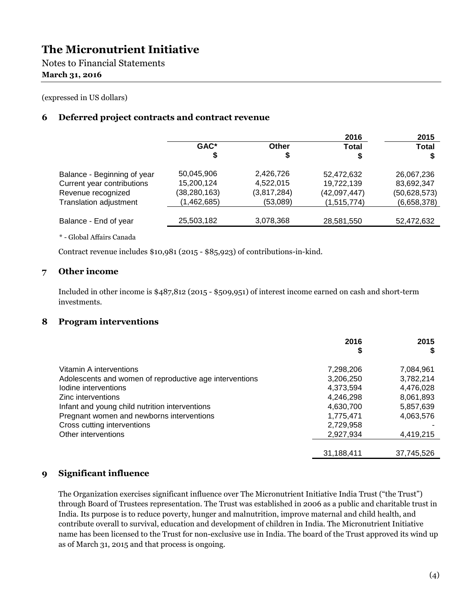Notes to Financial Statements **March 31, 2016**

(expressed in US dollars)

### **6 Deferred project contracts and contract revenue**

|                               |                |              | 2016         | 2015           |
|-------------------------------|----------------|--------------|--------------|----------------|
|                               | GAC*           | <b>Other</b> | Total        | Total          |
|                               | \$             | S            | \$           |                |
| Balance - Beginning of year   | 50,045,906     | 2,426,726    | 52,472,632   | 26,067,236     |
| Current year contributions    | 15,200,124     | 4,522,015    | 19,722,139   | 83,692,347     |
| Revenue recognized            | (38, 280, 163) | (3,817,284)  | (42,097,447) | (50, 628, 573) |
| <b>Translation adjustment</b> | (1,462,685)    | (53,089)     | (1,515,774)  | (6,658,378)    |
|                               |                |              |              |                |
| Balance - End of year         | 25,503,182     | 3,078,368    | 28,581,550   | 52,472,632     |

\* - Global Affairs Canada

Contract revenue includes \$10,981 (2015 - \$85,923) of contributions-in-kind.

### **7 Other income**

Included in other income is \$487,812 (2015 - \$509,951) of interest income earned on cash and short-term investments.

### **8 Program interventions**

|                                                         | 2016<br>\$ | 2015       |
|---------------------------------------------------------|------------|------------|
| Vitamin A interventions                                 | 7,298,206  | 7,084,961  |
| Adolescents and women of reproductive age interventions | 3,206,250  | 3,782,214  |
| lodine interventions                                    | 4,373,594  | 4,476,028  |
| Zinc interventions                                      | 4,246,298  | 8,061,893  |
| Infant and young child nutrition interventions          | 4,630,700  | 5,857,639  |
| Pregnant women and newborns interventions               | 1,775,471  | 4,063,576  |
| Cross cutting interventions                             | 2,729,958  |            |
| Other interventions                                     | 2,927,934  | 4,419,215  |
|                                                         | 31,188,411 | 37,745,526 |

### **9 Significant influence**

The Organization exercises significant influence over The Micronutrient Initiative India Trust ("the Trust") through Board of Trustees representation. The Trust was established in 2006 as a public and charitable trust in India. Its purpose is to reduce poverty, hunger and malnutrition, improve maternal and child health, and contribute overall to survival, education and development of children in India. The Micronutrient Initiative name has been licensed to the Trust for non-exclusive use in India. The board of the Trust approved its wind up as of March 31, 2015 and that process is ongoing.